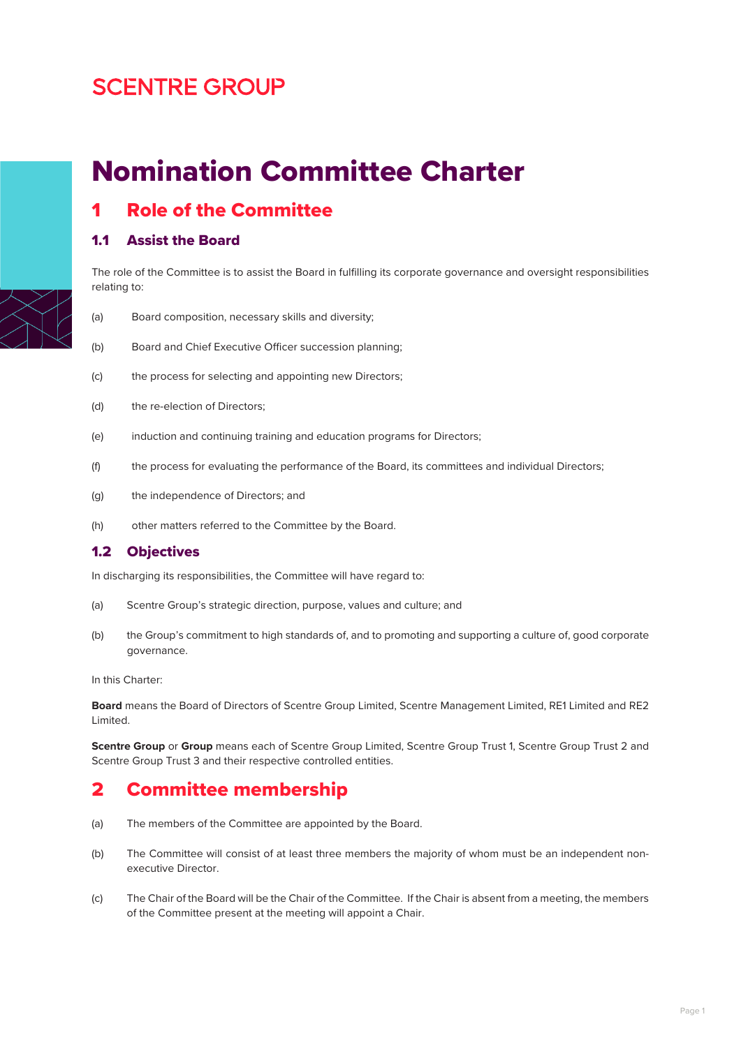# **SCENTRE GROUP**

# Nomination Committee Charter

**Role of the Committee** 

### 1.1 Assist the Board

The role of the Committee is to assist the Board in fulfilling its corporate governance and oversight responsibilities relating to:

- (a) Board composition, necessary skills and diversity;
- (b) Board and Chief Executive Officer succession planning;
- (c) the process for selecting and appointing new Directors;
- (d) the re-election of Directors;
- (e) induction and continuing training and education programs for Directors;
- (f) the process for evaluating the performance of the Board, its committees and individual Directors;
- (g) the independence of Directors; and
- (h) other matters referred to the Committee by the Board.

#### 1.2 Objectives

In discharging its responsibilities, the Committee will have regard to:

- (a) Scentre Group's strategic direction, purpose, values and culture; and
- (b) the Group's commitment to high standards of, and to promoting and supporting a culture of, good corporate governance.

In this Charter:

**Board** means the Board of Directors of Scentre Group Limited, Scentre Management Limited, RE1 Limited and RE2 Limited.

**Scentre Group** or **Group** means each of Scentre Group Limited, Scentre Group Trust 1, Scentre Group Trust 2 and Scentre Group Trust 3 and their respective controlled entities.

### 2 Committee membership

- (a) The members of the Committee are appointed by the Board.
- (b) The Committee will consist of at least three members the majority of whom must be an independent nonexecutive Director.
- (c) The Chair of the Board will be the Chair of the Committee. If the Chair is absent from a meeting, the members of the Committee present at the meeting will appoint a Chair.

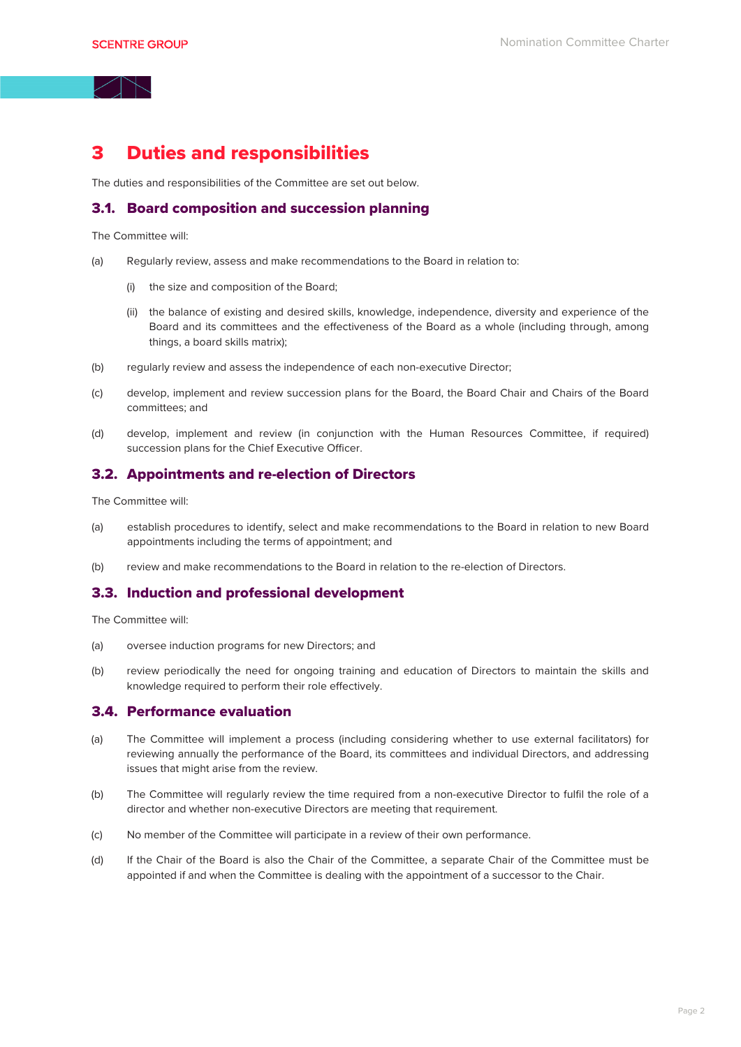### 3 Duties and responsibilities

The duties and responsibilities of the Committee are set out below.

#### 3.1. Board composition and succession planning

The Committee will:

- (a) Regularly review, assess and make recommendations to the Board in relation to:
	- (i) the size and composition of the Board;
	- (ii) the balance of existing and desired skills, knowledge, independence, diversity and experience of the Board and its committees and the effectiveness of the Board as a whole (including through, among things, a board skills matrix);
- (b) regularly review and assess the independence of each non-executive Director;
- (c) develop, implement and review succession plans for the Board, the Board Chair and Chairs of the Board committees; and
- (d) develop, implement and review (in conjunction with the Human Resources Committee, if required) succession plans for the Chief Executive Officer.

#### 3.2. Appointments and re-election of Directors

The Committee will:

- (a) establish procedures to identify, select and make recommendations to the Board in relation to new Board appointments including the terms of appointment; and
- (b) review and make recommendations to the Board in relation to the re-election of Directors.

#### 3.3. Induction and professional development

The Committee will:

- (a) oversee induction programs for new Directors; and
- (b) review periodically the need for ongoing training and education of Directors to maintain the skills and knowledge required to perform their role effectively.

#### 3.4. Performance evaluation

- (a) The Committee will implement a process (including considering whether to use external facilitators) for reviewing annually the performance of the Board, its committees and individual Directors, and addressing issues that might arise from the review.
- (b) The Committee will regularly review the time required from a non-executive Director to fulfil the role of a director and whether non-executive Directors are meeting that requirement.
- (c) No member of the Committee will participate in a review of their own performance.
- (d) If the Chair of the Board is also the Chair of the Committee, a separate Chair of the Committee must be appointed if and when the Committee is dealing with the appointment of a successor to the Chair.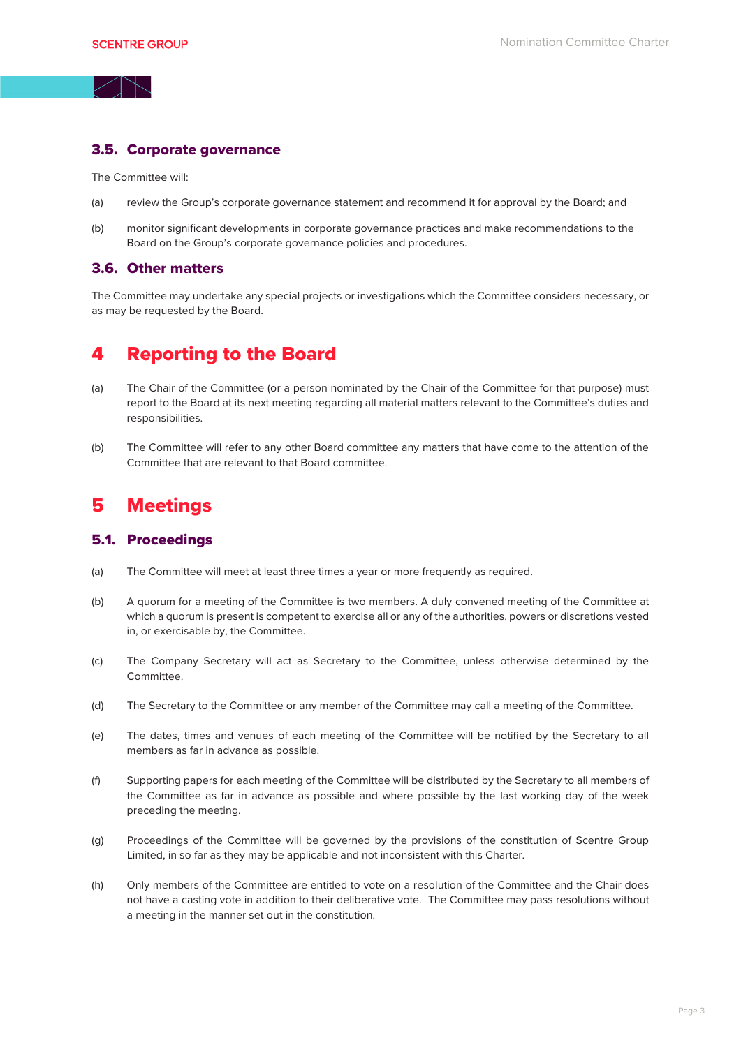#### 3.5. Corporate governance

The Committee will:

- (a) review the Group's corporate governance statement and recommend it for approval by the Board; and
- (b) monitor significant developments in corporate governance practices and make recommendations to the Board on the Group's corporate governance policies and procedures.

#### 3.6. Other matters

The Committee may undertake any special projects or investigations which the Committee considers necessary, or as may be requested by the Board.

## 4 Reporting to the Board

- (a) The Chair of the Committee (or a person nominated by the Chair of the Committee for that purpose) must report to the Board at its next meeting regarding all material matters relevant to the Committee's duties and responsibilities.
- (b) The Committee will refer to any other Board committee any matters that have come to the attention of the Committee that are relevant to that Board committee.

### 5 Meetings

#### 5.1. Proceedings

- (a) The Committee will meet at least three times a year or more frequently as required.
- (b) A quorum for a meeting of the Committee is two members. A duly convened meeting of the Committee at which a quorum is present is competent to exercise all or any of the authorities, powers or discretions vested in, or exercisable by, the Committee.
- (c) The Company Secretary will act as Secretary to the Committee, unless otherwise determined by the Committee.
- (d) The Secretary to the Committee or any member of the Committee may call a meeting of the Committee.
- (e) The dates, times and venues of each meeting of the Committee will be notified by the Secretary to all members as far in advance as possible.
- (f) Supporting papers for each meeting of the Committee will be distributed by the Secretary to all members of the Committee as far in advance as possible and where possible by the last working day of the week preceding the meeting.
- (g) Proceedings of the Committee will be governed by the provisions of the constitution of Scentre Group Limited, in so far as they may be applicable and not inconsistent with this Charter.
- (h) Only members of the Committee are entitled to vote on a resolution of the Committee and the Chair does not have a casting vote in addition to their deliberative vote. The Committee may pass resolutions without a meeting in the manner set out in the constitution.